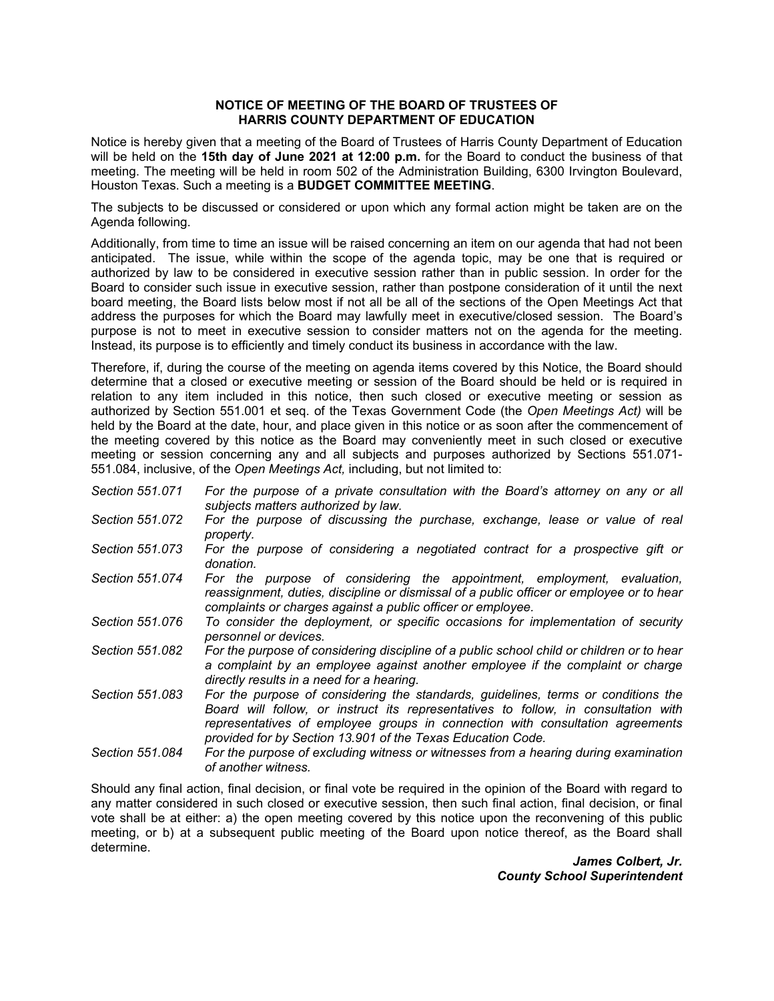## **NOTICE OF MEETING OF THE BOARD OF TRUSTEES OF HARRIS COUNTY DEPARTMENT OF EDUCATION**

Notice is hereby given that a meeting of the Board of Trustees of Harris County Department of Education will be held on the **15th day of June 2021 at 12:00 p.m.** for the Board to conduct the business of that meeting. The meeting will be held in room 502 of the Administration Building, 6300 Irvington Boulevard, Houston Texas. Such a meeting is a **BUDGET COMMITTEE MEETING**.

The subjects to be discussed or considered or upon which any formal action might be taken are on the Agenda following.

Additionally, from time to time an issue will be raised concerning an item on our agenda that had not been anticipated. The issue, while within the scope of the agenda topic, may be one that is required or authorized by law to be considered in executive session rather than in public session. In order for the Board to consider such issue in executive session, rather than postpone consideration of it until the next board meeting, the Board lists below most if not all be all of the sections of the Open Meetings Act that address the purposes for which the Board may lawfully meet in executive/closed session. The Board's purpose is not to meet in executive session to consider matters not on the agenda for the meeting. Instead, its purpose is to efficiently and timely conduct its business in accordance with the law.

Therefore, if, during the course of the meeting on agenda items covered by this Notice, the Board should determine that a closed or executive meeting or session of the Board should be held or is required in relation to any item included in this notice, then such closed or executive meeting or session as authorized by Section 551.001 et seq. of the Texas Government Code (the *Open Meetings Act)* will be held by the Board at the date, hour, and place given in this notice or as soon after the commencement of the meeting covered by this notice as the Board may conveniently meet in such closed or executive meeting or session concerning any and all subjects and purposes authorized by Sections 551.071- 551.084, inclusive, of the *Open Meetings Act,* including, but not limited to:

- *Section 551.071 For the purpose of a private consultation with the Board's attorney on any or all subjects matters authorized by law.*
- *Section 551.072 For the purpose of discussing the purchase, exchange, lease or value of real property.*
- *Section 551.073 For the purpose of considering a negotiated contract for a prospective gift or donation.*
- *Section 551.074 For the purpose of considering the appointment, employment, evaluation, reassignment, duties, discipline or dismissal of a public officer or employee or to hear complaints or charges against a public officer or employee.*
- *Section 551.076 To consider the deployment, or specific occasions for implementation of security personnel or devices.*
- *Section 551.082 For the purpose of considering discipline of a public school child or children or to hear a complaint by an employee against another employee if the complaint or charge directly results in a need for a hearing.*
- *Section 551.083 For the purpose of considering the standards, guidelines, terms or conditions the Board will follow, or instruct its representatives to follow, in consultation with representatives of employee groups in connection with consultation agreements provided for by Section 13.901 of the Texas Education Code.*
- *Section 551.084 For the purpose of excluding witness or witnesses from a hearing during examination of another witness.*

Should any final action, final decision, or final vote be required in the opinion of the Board with regard to any matter considered in such closed or executive session, then such final action, final decision, or final vote shall be at either: a) the open meeting covered by this notice upon the reconvening of this public meeting, or b) at a subsequent public meeting of the Board upon notice thereof, as the Board shall determine.

> *James Colbert, Jr. County School Superintendent*